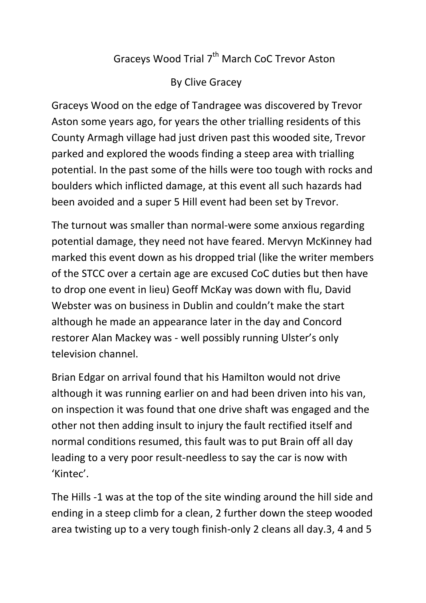Graceys Wood Trial 7<sup>th</sup> March CoC Trevor Aston

By Clive Gracey

Graceys Wood on the edge of Tandragee was discovered by Trevor Aston some years ago, for years the other trialling residents of this County Armagh village had just driven past this wooded site, Trevor parked and explored the woods finding a steep area with trialling potential. In the past some of the hills were too tough with rocks and boulders which inflicted damage, at this event all such hazards had been avoided and a super 5 Hill event had been set by Trevor.

The turnout was smaller than normal-were some anxious regarding potential damage, they need not have feared. Mervyn McKinney had marked this event down as his dropped trial (like the writer members of the STCC over a certain age are excused CoC duties but then have to drop one event in lieu) Geoff McKay was down with flu, David Webster was on business in Dublin and couldn't make the start although he made an appearance later in the day and Concord restorer Alan Mackey was - well possibly running Ulster's only television channel.

Brian Edgar on arrival found that his Hamilton would not drive although it was running earlier on and had been driven into his van, on inspection it was found that one drive shaft was engaged and the other not then adding insult to injury the fault rectified itself and normal conditions resumed, this fault was to put Brain off all day leading to a very poor result-needless to say the car is now with 'Kintec'.

The Hills -1 was at the top of the site winding around the hill side and ending in a steep climb for a clean, 2 further down the steep wooded area twisting up to a very tough finish-only 2 cleans all day.3, 4 and 5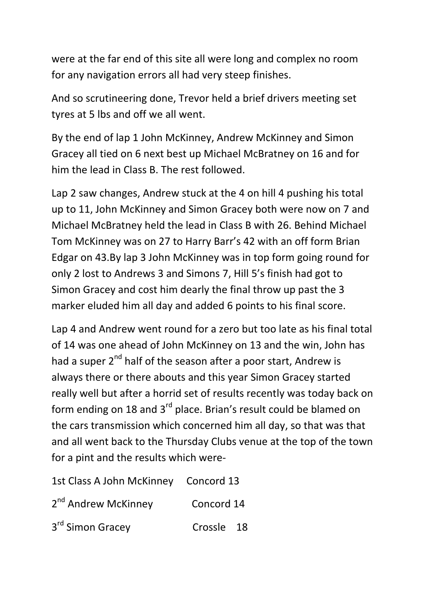were at the far end of this site all were long and complex no room for any navigation errors all had very steep finishes.

And so scrutineering done, Trevor held a brief drivers meeting set tyres at 5 lbs and off we all went.

By the end of lap 1 John McKinney, Andrew McKinney and Simon Gracey all tied on 6 next best up Michael McBratney on 16 and for him the lead in Class B. The rest followed.

Lap 2 saw changes, Andrew stuck at the 4 on hill 4 pushing his total up to 11, John McKinney and Simon Gracey both were now on 7 and Michael McBratney held the lead in Class B with 26. Behind Michael Tom McKinney was on 27 to Harry Barr's 42 with an off form Brian Edgar on 43.By lap 3 John McKinney was in top form going round for only 2 lost to Andrews 3 and Simons 7, Hill 5's finish had got to Simon Gracey and cost him dearly the final throw up past the 3 marker eluded him all day and added 6 points to his final score.

Lap 4 and Andrew went round for a zero but too late as his final total of 14 was one ahead of John McKinney on 13 and the win, John has had a super 2<sup>nd</sup> half of the season after a poor start, Andrew is always there or there abouts and this year Simon Gracey started really well but after a horrid set of results recently was today back on form ending on 18 and 3<sup>rd</sup> place. Brian's result could be blamed on the cars transmission which concerned him all day, so that was that and all went back to the Thursday Clubs venue at the top of the town for a pint and the results which were-

| 1st Class A John McKinney Concord 13 |            |
|--------------------------------------|------------|
| 2 <sup>nd</sup> Andrew McKinney      | Concord 14 |
| 3 <sup>rd</sup> Simon Gracey         | Crossle 18 |